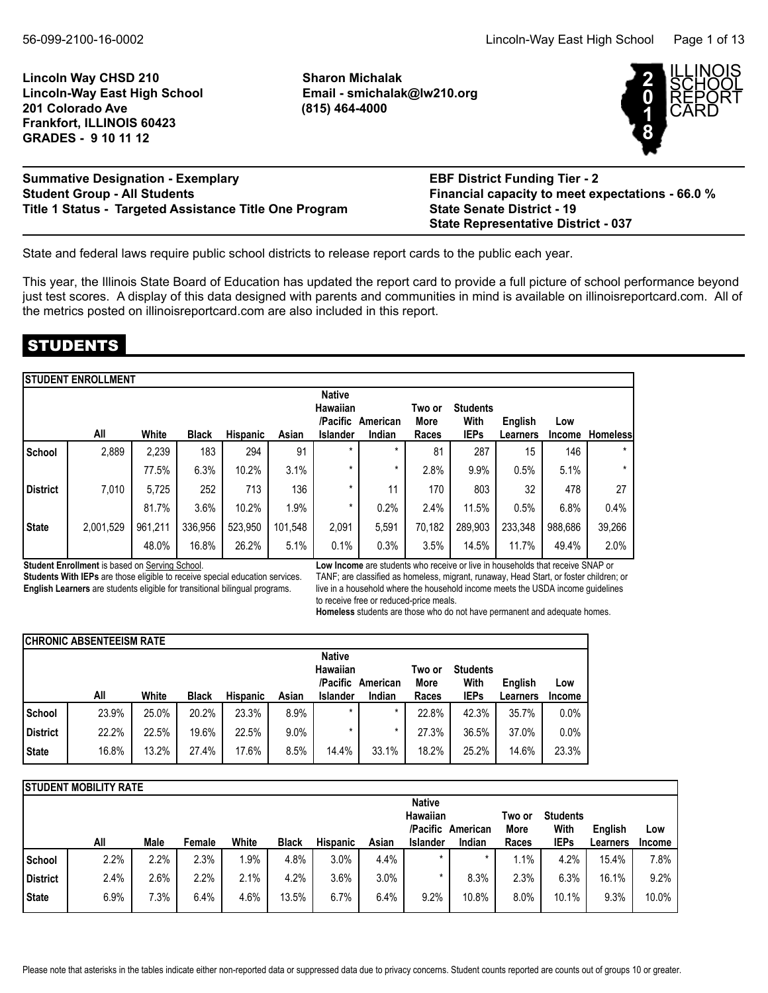**Lincoln Way CHSD 210 Sharon Michalak Lincoln-Way East High School Email - smichalak@lw210.org 201 Colorado Ave (815) 464-4000 Frankfort, ILLINOIS 60423 GRADES - 9 10 11 12**



| <b>Summative Designation - Exemplary</b>               | <b>EBF District Funding Tier - 2</b>             |
|--------------------------------------------------------|--------------------------------------------------|
| <b>Student Group - All Students</b>                    | Financial capacity to meet expectations - 66.0 % |
| Title 1 Status - Targeted Assistance Title One Program | <b>State Senate District - 19</b>                |
|                                                        | <b>State Representative District - 037</b>       |

State and federal laws require public school districts to release report cards to the public each year.

This year, the Illinois State Board of Education has updated the report card to provide a full picture of school performance beyond just test scores. A display of this data designed with parents and communities in mind is available on illinoisreportcard.com. All of the metrics posted on illinoisreportcard.com are also included in this report.

## STUDENTS

|                 | <b>STUDENT ENROLLMENT</b> |         |              |                 |         |                                                   |                    |                         |                                        |                     |                      |                 |
|-----------------|---------------------------|---------|--------------|-----------------|---------|---------------------------------------------------|--------------------|-------------------------|----------------------------------------|---------------------|----------------------|-----------------|
|                 | All                       | White   | <b>Black</b> | <b>Hispanic</b> | Asian   | <b>Native</b><br>Hawaiian<br>/Pacific<br>Islander | American<br>Indian | Two or<br>More<br>Races | <b>Students</b><br>With<br><b>IEPs</b> | English<br>Learners | Low<br><b>Income</b> | <b>Homeless</b> |
| School          | 2,889                     | 2,239   | 183          | 294             | 91      | $\star$                                           | *                  | 81                      | 287                                    | 15                  | 146                  | $\star$         |
|                 |                           | 77.5%   | 6.3%         | 10.2%           | 3.1%    | *                                                 | *                  | 2.8%                    | 9.9%                                   | 0.5%                | 5.1%                 | $\star$         |
| <b>District</b> | 7,010                     | 5,725   | 252          | 713             | 136     | *                                                 | 11                 | 170                     | 803                                    | 32                  | 478                  | 27              |
|                 |                           | 81.7%   | 3.6%         | 10.2%           | 1.9%    | *                                                 | 0.2%               | 2.4%                    | 11.5%                                  | 0.5%                | 6.8%                 | 0.4%            |
| <b>State</b>    | 2,001,529                 | 961,211 | 336,956      | 523,950         | 101,548 | 2,091                                             | 5,591              | 70,182                  | 289,903                                | 233,348             | 988,686              | 39,266          |
|                 |                           | 48.0%   | 16.8%        | 26.2%           | 5.1%    | 0.1%                                              | 0.3%               | 3.5%                    | 14.5%                                  | 11.7%               | 49.4%                | 2.0%            |

**Student Enrollment** is based on Serving School.

**Students With IEPs** are those eligible to receive special education services. **English Learners** are students eligible for transitional bilingual programs.

**Low Income** are students who receive or live in households that receive SNAP or TANF; are classified as homeless, migrant, runaway, Head Start, or foster children; or live in a household where the household income meets the USDA income guidelines to receive free or reduced-price meals.

**Homeless** students are those who do not have permanent and adequate homes.

|              | <b>CHRONIC ABSENTEEISM RATE</b> |       |              |                 |       |                                              |          |                |                         |          |               |
|--------------|---------------------------------|-------|--------------|-----------------|-------|----------------------------------------------|----------|----------------|-------------------------|----------|---------------|
|              |                                 |       |              |                 |       | <b>Native</b><br><b>Hawaiian</b><br>/Pacific | American | Two or<br>More | <b>Students</b><br>With | English  | Low           |
|              | All                             | White | <b>Black</b> | <b>Hispanic</b> | Asian | <b>Islander</b>                              | Indian   | Races          | <b>IEPs</b>             | Learners | <b>Income</b> |
| School       | 23.9%                           | 25.0% | 20.2%        | 23.3%           | 8.9%  |                                              | $\star$  | 22.8%          | 42.3%                   | 35.7%    | 0.0%          |
| District     | 22.2%                           | 22.5% | 19.6%        | 22.5%           | 9.0%  |                                              |          | 27.3%          | 36.5%                   | 37.0%    | 0.0%          |
| <b>State</b> | 16.8%                           | 13.2% | 27.4%        | 17.6%           | 8.5%  | 14.4%                                        | 33.1%    | 18.2%          | 25.2%                   | 14.6%    | 23.3%         |

|                 | ISTUDENT MOBILITY RATE |      |        |       |              |                 |       |                                       |          |                |                         |          |               |
|-----------------|------------------------|------|--------|-------|--------------|-----------------|-------|---------------------------------------|----------|----------------|-------------------------|----------|---------------|
|                 |                        |      |        |       |              |                 |       | <b>Native</b><br>Hawaiian<br>/Pacific | American | Two or<br>More | <b>Students</b><br>With | English  | Low           |
|                 | All                    | Male | Female | White | <b>Black</b> | <b>Hispanic</b> | Asian | <b>Islander</b>                       | Indian   | Races          | <b>IEPs</b>             | Learners | <b>Income</b> |
| School          | 2.2%                   | 2.2% | 2.3%   | .9%   | 4.8%         | 3.0%            | 4.4%  | $\star$                               | $\star$  | . . 1%         | 4.2%                    | 15.4%    | 7.8%          |
| <b>District</b> | 2.4%                   | 2.6% | 2.2%   | 2.1%  | 4.2%         | 3.6%            | 3.0%  |                                       | 8.3%     | 2.3%           | 6.3%                    | 16.1%    | 9.2%          |
| <b>State</b>    | 6.9%                   | 7.3% | 6.4%   | 4.6%  | 13.5%        | 6.7%            | 6.4%  | 9.2%                                  | 10.8%    | 8.0%           | 10.1%                   | 9.3%     | 10.0%         |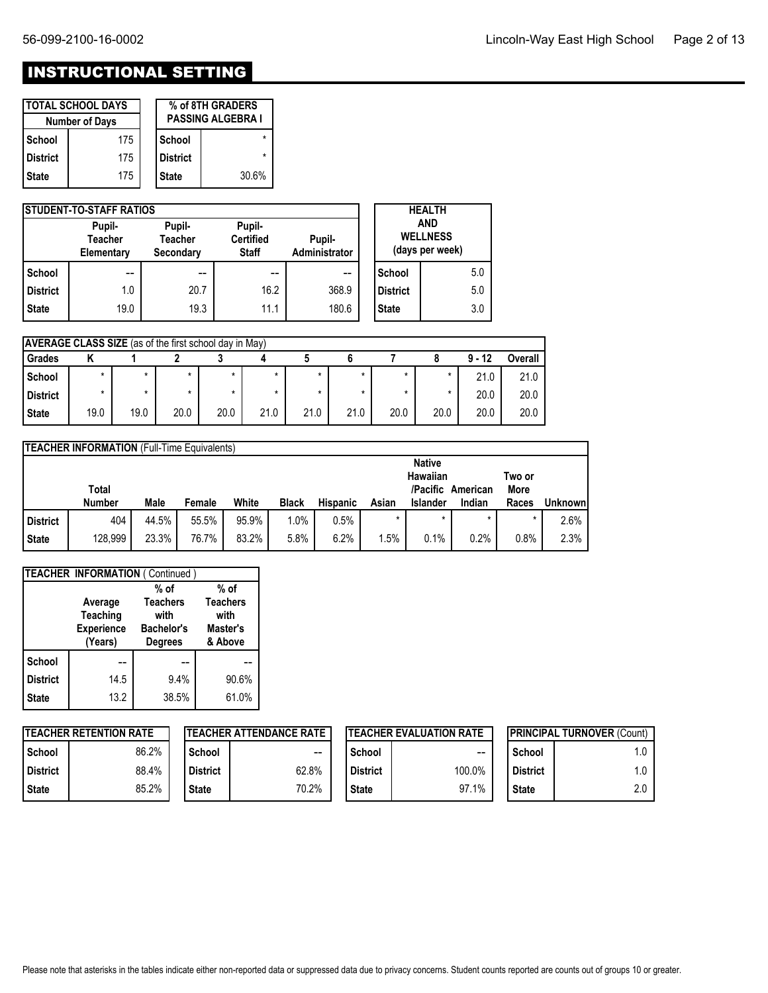# INSTRUCTIONAL SETTING

|              | <b>I TOTAL SCHOOL DAYS</b><br><b>Number of Days</b> |                 | % of 8TH GRADERS<br><b>PASSING ALGEBRA I</b> |
|--------------|-----------------------------------------------------|-----------------|----------------------------------------------|
| l School     | 175                                                 | School          |                                              |
| l District   | 175                                                 | <b>District</b> |                                              |
| <b>State</b> | 175                                                 | <b>State</b>    | 30.6%                                        |

|                 | <b>ISTUDENT-TO-STAFF RATIOS</b>        |                         |       |                                                  |                 | <b>HEALTH</b> |
|-----------------|----------------------------------------|-------------------------|-------|--------------------------------------------------|-----------------|---------------|
|                 | Pupil-<br><b>Teacher</b><br>Elementary | Pupil-<br>Administrator |       | <b>AND</b><br><b>WELLNESS</b><br>(days per week) |                 |               |
| School          | $- -$                                  | $- -$                   | $- -$ | $- -$                                            | School          | 5.0           |
| <b>District</b> | 1.0                                    | 20.7                    | 16.2  | 368.9                                            | <b>District</b> | 5.0           |
| <b>State</b>    | 19.0                                   | 19.3                    | 11.1  | 180.6                                            | <b>State</b>    | 3.0           |

|                 | <b>AVERAGE CLASS SIZE</b> (as of the first school day in May) |      |         |      |      |         |      |      |         |          |         |
|-----------------|---------------------------------------------------------------|------|---------|------|------|---------|------|------|---------|----------|---------|
| Grades          |                                                               |      |         |      |      |         |      |      |         | $9 - 12$ | Overall |
| School          | $\star$                                                       |      | $\star$ |      | *    | $\star$ |      |      | *       | 21.0     | 21.0    |
| <b>District</b> |                                                               |      | $\star$ |      | *    |         |      |      | $\star$ | 20.0     | 20.0    |
| <b>State</b>    | 19.0                                                          | 19.0 | 20.0    | 20.0 | 21.0 | 21.0    | 21.0 | 20.0 | 20.0    | 20.0     | 20.0    |

|                                                                           | TEACHER INFORMATION (Full-Time Equivalents) |       |        |       |              |                 |         |                 |         |         |                |
|---------------------------------------------------------------------------|---------------------------------------------|-------|--------|-------|--------------|-----------------|---------|-----------------|---------|---------|----------------|
| <b>Native</b><br>Hawaiian<br>Two or<br>/Pacific American<br>More<br>Total |                                             |       |        |       |              |                 |         |                 |         |         |                |
|                                                                           | Number                                      | Male  | Female | White | <b>Black</b> | <b>Hispanic</b> | Asian   | <b>Islander</b> | Indian  | Races   | <b>Unknown</b> |
| District                                                                  | 404                                         | 44.5% | 55.5%  | 95.9% | 1.0%         | 0.5%            | $\star$ | $\star$         | $\star$ | $\star$ | 2.6%           |
| <b>State</b>                                                              | 128,999                                     | 23.3% | 76.7%  | 83.2% | 5.8%         | 6.2%            | .5%     | 0.1%            | 0.2%    | 0.8%    | 2.3%           |

|                 | <b>TEACHER INFORMATION (Continued)</b> |                   |                     |
|-----------------|----------------------------------------|-------------------|---------------------|
|                 |                                        | $%$ of            | $%$ of              |
|                 | Average                                | <b>Teachers</b>   | <b>Teachers</b>     |
|                 | Teaching                               | with              | with                |
|                 | <b>Experience</b>                      | <b>Bachelor's</b> | Master's<br>& Above |
|                 | (Years)                                | <b>Degrees</b>    |                     |
| School          |                                        |                   |                     |
| <b>District</b> | 14.5                                   | 9.4%              | 90.6%               |
| <b>State</b>    | 13.2                                   | 38.5%             | 61.0%               |
|                 |                                        |                   |                     |

|                 | <b>TEACHER RETENTION RATE</b> |                 | <b>ITEACHER ATTENDANCE RATE</b> |                 | <b>ITEACHER EVALUATION RATE</b> |                 | <b>IPRINCIPAL TURNOVER (Count)</b> |
|-----------------|-------------------------------|-----------------|---------------------------------|-----------------|---------------------------------|-----------------|------------------------------------|
| School          | 86.2%                         | School          | $\hspace{0.05cm}$               | School          | $-$                             | School          | 1.0                                |
| <b>District</b> | 88.4%                         | <b>District</b> | 62.8%                           | <b>District</b> | 100.0%                          | <b>District</b> | 1.0                                |
| <b>State</b>    | 85.2%                         | <b>State</b>    | 70.2%                           | <b>State</b>    | 97.1%                           | <b>State</b>    | 2.0                                |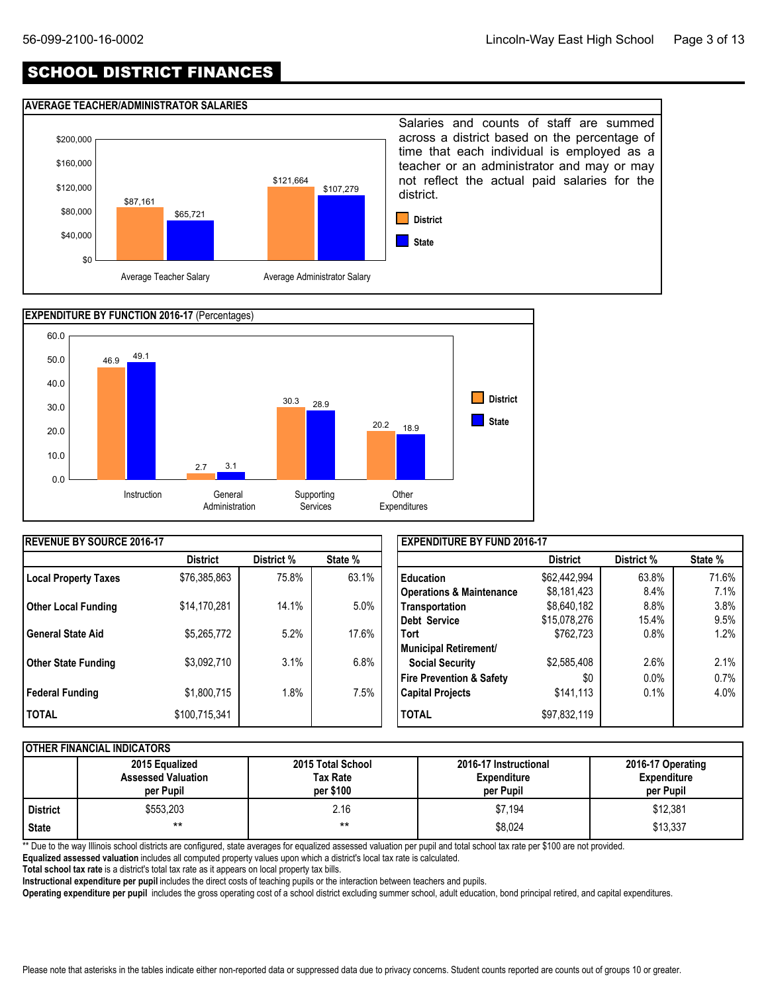## SCHOOL DISTRICT FINANCES

#### **AVERAGE TEACHER/ADMINISTRATOR SALARIES**





| <b>IREVENUE BY SOURCE 2016-17</b> |                 |            |         | <b>EXPENDITURE BY FUND 2016-17</b>  |                 |            |         |
|-----------------------------------|-----------------|------------|---------|-------------------------------------|-----------------|------------|---------|
|                                   | <b>District</b> | District % | State % |                                     | <b>District</b> | District % | State % |
| <b>Local Property Taxes</b>       | \$76,385,863    | 75.8%      | 63.1%   | I Education                         | \$62,442,994    | 63.8%      | 71.6%   |
|                                   |                 |            |         | <b>Operations &amp; Maintenance</b> | \$8,181,423     | 8.4%       | 7.1%    |
| <b>Other Local Funding</b>        | \$14,170,281    | 14.1%      | 5.0%    | Transportation                      | \$8,640,182     | 8.8%       | $3.8\%$ |
|                                   |                 |            |         | Debt Service                        | \$15,078,276    | 15.4%      | 9.5%    |
| l General State Aid               | \$5,265,772     | 5.2%       | 17.6%   | Tort                                | \$762.723       | 0.8%       | 1.2%    |
|                                   |                 |            |         | Municipal Retirement/               |                 |            |         |
| <b>Other State Funding</b>        | \$3,092,710     | 3.1%       | 6.8%    | <b>Social Security</b>              | \$2,585,408     | 2.6%       | 2.1%    |
|                                   |                 |            |         | <b>Fire Prevention &amp; Safety</b> | \$0             | 0.0%       | 0.7%    |
| <b>Federal Funding</b>            | \$1,800,715     | 1.8%       | $7.5\%$ | <b>Capital Projects</b>             | \$141,113       | 0.1%       | 4.0%    |
| <b>TOTAL</b>                      | \$100,715,341   |            |         | <b>TOTAL</b>                        | \$97,832,119    |            |         |

### **OTHER FINANCIAL INDICATORS**

|                 | 2015 Equalized<br><b>Assessed Valuation</b><br>per Pupil | 2015 Total School<br>Tax Rate<br>per \$100 | 2016-17 Instructional<br><b>Expenditure</b><br>per Pupil | 2016-17 Operating<br><b>Expenditure</b><br>per Pupil |
|-----------------|----------------------------------------------------------|--------------------------------------------|----------------------------------------------------------|------------------------------------------------------|
| <b>District</b> | \$553,203                                                | 2.16                                       | \$7.194                                                  | \$12,381                                             |
| <b>State</b>    | $***$                                                    | $***$                                      | \$8,024                                                  | \$13,337                                             |

\*\* Due to the way Illinois school districts are configured, state averages for equalized assessed valuation per pupil and total school tax rate per \$100 are not provided.

**Equalized assessed valuation** includes all computed property values upon which a district's local tax rate is calculated.

**Total school tax rate** is a district's total tax rate as it appears on local property tax bills.

**Instructional expenditure per pupil** includes the direct costs of teaching pupils or the interaction between teachers and pupils.

**Operating expenditure per pupil** includes the gross operating cost of a school district excluding summer school, adult education, bond principal retired, and capital expenditures.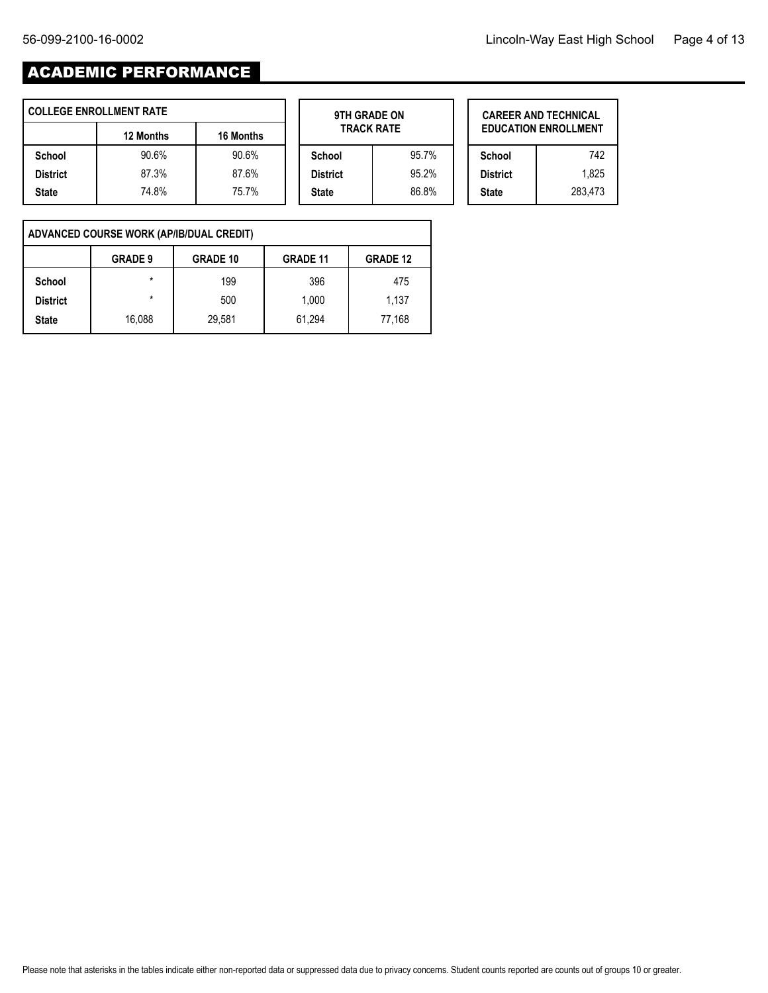$\overline{\phantom{0}}$ 

# ACADEMIC PERFORMANCE

| <b>COLLEGE ENROLLMENT RATE</b> |           |                  | 9TH GRADE ON      |       | <b>CAREER AND TECHNICAL</b> |         |  |  |
|--------------------------------|-----------|------------------|-------------------|-------|-----------------------------|---------|--|--|
|                                | 12 Months | <b>16 Months</b> | <b>TRACK RATE</b> |       | <b>EDUCATION ENROLLMENT</b> |         |  |  |
| School                         | 90.6%     | 90.6%            | School            | 95.7% | School                      | 742     |  |  |
| <b>District</b>                | 87.3%     | 87.6%            | <b>District</b>   | 95.2% | <b>District</b>             | 1.825   |  |  |
| <b>State</b>                   | 74.8%     | 75.7%            | <b>State</b>      | 86.8% | <b>State</b>                | 283.473 |  |  |

| 9TH GRADE ON<br><b>TRACK RATE</b> |          |  |  |  |  |  |  |  |  |
|-----------------------------------|----------|--|--|--|--|--|--|--|--|
| School                            | 95.7%    |  |  |  |  |  |  |  |  |
| <b>District</b>                   | $95.2\%$ |  |  |  |  |  |  |  |  |
| <b>State</b>                      | 86.8%    |  |  |  |  |  |  |  |  |
|                                   |          |  |  |  |  |  |  |  |  |

Е

|                 | <b>CAREER AND TECHNICAL</b><br><b>EDUCATION ENROLLMENT</b> |
|-----------------|------------------------------------------------------------|
| School          | 742                                                        |
| <b>District</b> | 1.825                                                      |
| <b>State</b>    | 283.473                                                    |

 $\mathbf{r}$ 

| ADVANCED COURSE WORK (AP/IB/DUAL CREDIT) |                |                 |                 |                 |  |  |  |  |  |  |  |
|------------------------------------------|----------------|-----------------|-----------------|-----------------|--|--|--|--|--|--|--|
|                                          | <b>GRADE 9</b> | <b>GRADE 10</b> | <b>GRADE 11</b> | <b>GRADE 12</b> |  |  |  |  |  |  |  |
| School                                   | $\star$        | 199             | 396             | 475             |  |  |  |  |  |  |  |
| <b>District</b>                          | $\star$        | 500             | 1.000           | 1.137           |  |  |  |  |  |  |  |
| <b>State</b>                             | 16.088         | 29,581          | 61,294          | 77,168          |  |  |  |  |  |  |  |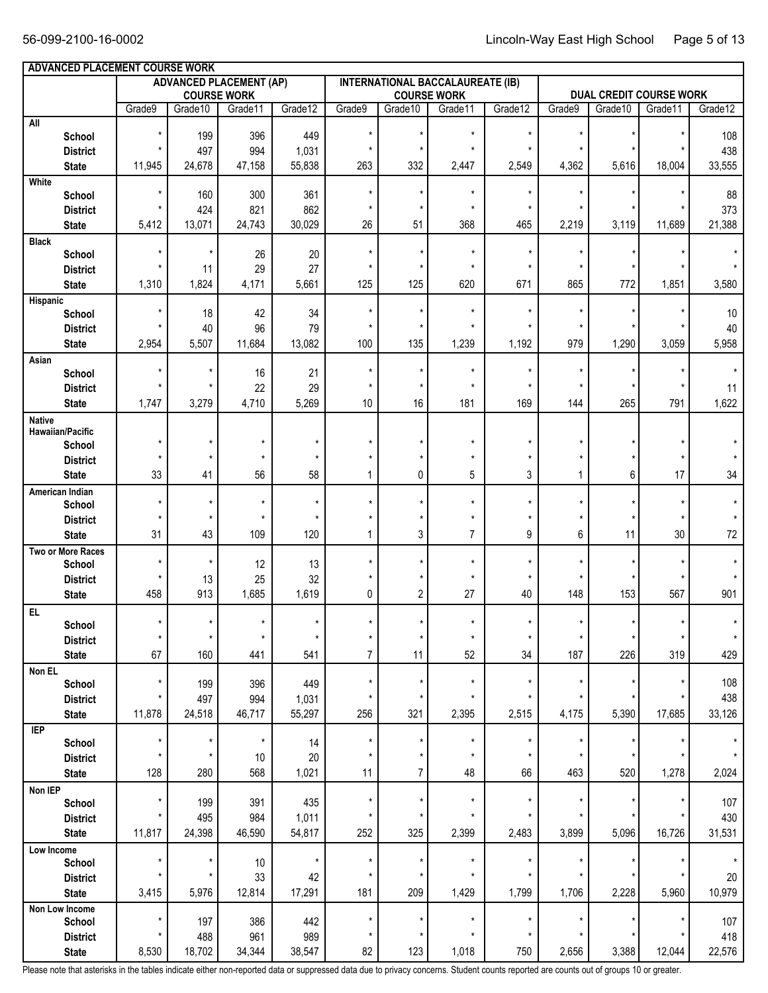|                          | ADVANCED PLACEMENT COURSE WORK<br><b>INTERNATIONAL BACCALAUREATE (IB)</b><br><b>ADVANCED PLACEMENT (AP)</b> |            |                    |          |                |                |                    |          |          |                                |          |         |  |
|--------------------------|-------------------------------------------------------------------------------------------------------------|------------|--------------------|----------|----------------|----------------|--------------------|----------|----------|--------------------------------|----------|---------|--|
|                          |                                                                                                             |            |                    |          |                |                |                    |          |          |                                |          |         |  |
|                          |                                                                                                             | Grade10    | <b>COURSE WORK</b> |          |                |                | <b>COURSE WORK</b> |          |          | <b>DUAL CREDIT COURSE WORK</b> |          |         |  |
| $\mathsf{All}$           | Grade9                                                                                                      |            | Grade11            | Grade12  | Grade9         | Grade10        | Grade11            | Grade12  | Grade9   | Grade10                        | Grade 11 | Grade12 |  |
| School                   | $\star$                                                                                                     | 199        | 396                | 449      | $\star$        | $\star$        | $\star$            | $\star$  | $\star$  | $\star$                        |          | 108     |  |
| <b>District</b>          |                                                                                                             | 497        | 994                | 1,031    | $\star$        |                | $\star$            | $\star$  |          |                                |          | 438     |  |
| <b>State</b>             | 11,945                                                                                                      | 24,678     | 47,158             | 55,838   | 263            | 332            | 2,447              | 2,549    | 4,362    | 5,616                          | 18,004   | 33,555  |  |
| White                    |                                                                                                             |            |                    |          |                |                |                    |          |          |                                |          |         |  |
| School                   | $\star$                                                                                                     | 160        | 300                | 361      | $\star$        | $\star$        | $\star$            | $\star$  | $\star$  |                                |          | 88      |  |
| <b>District</b>          |                                                                                                             | 424        | 821                | 862      | $\star$        |                | $\star$            | $\star$  |          |                                |          | 373     |  |
| <b>State</b>             | 5,412                                                                                                       | 13,071     | 24,743             | 30,029   | 26             | 51             | 368                | 465      | 2,219    | 3,119                          | 11,689   | 21,388  |  |
| <b>Black</b>             |                                                                                                             |            |                    |          |                |                |                    |          |          |                                |          |         |  |
| School                   | $\star$                                                                                                     | $\star$    | 26                 | 20       | $\star$        | $\star$        | $^\star$           | $\star$  | $\star$  |                                |          |         |  |
| <b>District</b>          |                                                                                                             | 11         | 29                 | 27       | $\star$        | $\star$        | $\star$            | $\star$  | $\star$  | $^\star$                       |          |         |  |
| <b>State</b>             | 1,310                                                                                                       | 1,824      | 4,171              | 5,661    | 125            | 125            | 620                | 671      | 865      | 772                            | 1,851    | 3,580   |  |
| Hispanic                 |                                                                                                             |            |                    |          |                |                |                    |          |          |                                |          |         |  |
| School                   | $\star$                                                                                                     | 18         | 42                 | 34       | $\star$        | $\star$        | $^\star$           | $^\star$ | $\star$  | $^\star$                       |          | 10      |  |
| <b>District</b>          |                                                                                                             | 40         | 96                 | 79       | $\star$        | $\star$        | $\star$            | $\star$  | $\star$  | $^\star$                       |          | 40      |  |
| <b>State</b>             | 2,954                                                                                                       | 5,507      | 11,684             | 13,082   | 100            | 135            | 1,239              | 1,192    | 979      | 1,290                          | 3,059    | 5,958   |  |
| Asian                    |                                                                                                             |            |                    |          |                |                |                    |          |          |                                |          |         |  |
| School                   |                                                                                                             | $\star$    | 16                 | 21       | $\star$        | $\star$        | $^\star$           | $\star$  | $\star$  | $\star$                        |          |         |  |
| <b>District</b>          |                                                                                                             | $^\star$   | 22                 | 29       | $\star$        | $\star$        | $\star$            | $\star$  | $\star$  | $^\star$                       |          | 11      |  |
| <b>State</b>             | 1,747                                                                                                       | 3,279      | 4,710              | 5,269    | 10             | 16             | 181                | 169      | 144      | 265                            | 791      | 1,622   |  |
| <b>Native</b>            |                                                                                                             |            |                    |          |                |                |                    |          |          |                                |          |         |  |
| Hawaiian/Pacific         |                                                                                                             |            |                    |          |                |                |                    |          |          |                                |          |         |  |
| School                   |                                                                                                             | $^\star$   | $\star$            | $^\star$ |                |                | $^\star$           | $\star$  |          |                                |          |         |  |
| <b>District</b>          |                                                                                                             | $\star$    | $\star$            | $\star$  | $\star$        | $\star$        | $\star$            | $\star$  |          |                                | $\star$  |         |  |
| <b>State</b>             | 33                                                                                                          | 41         | 56                 | 58       | 1              | 0              | 5                  | 3        | 1        | 6                              | 17       | 34      |  |
| American Indian          |                                                                                                             |            |                    |          |                |                |                    |          |          |                                |          |         |  |
| School                   |                                                                                                             | $\star$    | $\star$            | $^\star$ | $\star$        | $\star$        | $\star$            | $\star$  |          |                                |          |         |  |
| <b>District</b>          |                                                                                                             | $\star$    | $\star$            | $^\star$ |                | $\star$        | $^\star$           | $\star$  | $\star$  | $^\star$                       |          |         |  |
| <b>State</b>             | 31                                                                                                          | 43         | 109                | 120      | 1              | 3              | $\overline{7}$     | 9        | 6        | 11                             | 30       | 72      |  |
| Two or More Races        |                                                                                                             |            |                    |          |                |                |                    |          |          |                                |          |         |  |
| School                   |                                                                                                             | $\star$    | 12                 | 13       | $\star$        | $\star$        | $\star$            | $\star$  | $\star$  | $\star$                        |          |         |  |
| <b>District</b>          | $\star$                                                                                                     | 13         | 25                 | 32       | $\star$        | $\star$        | $\star$            | $\star$  | $\star$  | $^\star$                       |          |         |  |
| <b>State</b>             | 458                                                                                                         | 913        | 1,685              | 1,619    | 0              | $\overline{2}$ | 27                 | 40       | 148      | 153                            | 567      | 901     |  |
| EL.                      | $\star$                                                                                                     | $\star$    | $\star$            | $\star$  | $\star$        | $^\star$       | $^\star$           | $^\star$ | $\star$  | $\star$                        | $\star$  |         |  |
| School                   | $\star$                                                                                                     | $\star$    | $\star$            | $^\star$ | $\star$        | $^\star$       | $\star$            | $^\star$ | $^\star$ |                                | $\star$  | $\star$ |  |
| <b>District</b>          |                                                                                                             |            |                    |          |                |                |                    |          |          | $^\star$                       |          |         |  |
| <b>State</b>             | 67                                                                                                          | 160        | 441                | 541      | $\overline{7}$ | 11             | 52                 | 34       | 187      | 226                            | 319      | 429     |  |
| Non EL                   |                                                                                                             |            |                    |          | $\star$        | *              | $\star$            | $\star$  | $\star$  |                                | $\star$  | 108     |  |
| School                   |                                                                                                             | 199<br>497 | 396                | 449      | $\star$        |                | $\star$            | $\star$  | $\star$  |                                |          | 438     |  |
| <b>District</b>          |                                                                                                             |            | 994                | 1,031    |                |                |                    |          |          |                                |          |         |  |
| <b>State</b>             | 11,878                                                                                                      | 24,518     | 46,717             | 55,297   | 256            | 321            | 2,395              | 2,515    | 4,175    | 5,390                          | 17,685   | 33,126  |  |
| IEP<br>School            | $\star$                                                                                                     | $\star$    | $^\star$           | 14       | $\star$        | $^\star$       | $\star$            | $\star$  | $\star$  | $^\star$                       | $\star$  | $\star$ |  |
| <b>District</b>          |                                                                                                             | $\star$    | $10$               | 20       | $\star$        |                | $\star$            | $\star$  | $\star$  | $\star$                        |          | $\star$ |  |
| <b>State</b>             | 128                                                                                                         | 280        | 568                | 1,021    | 11             | 7              | 48                 | 66       | 463      | 520                            | 1,278    | 2,024   |  |
|                          |                                                                                                             |            |                    |          |                |                |                    |          |          |                                |          |         |  |
| Non IEP<br>School        |                                                                                                             | 199        | 391                | 435      | $\star$        | $^\star$       | $\star$            | $\star$  | $\star$  | $^\star$                       |          | 107     |  |
| <b>District</b>          |                                                                                                             | 495        | 984                | 1,011    | $\star$        | $\star$        | $\star$            | $\star$  |          | $^\star$                       |          | 430     |  |
|                          | 11,817                                                                                                      | 24,398     | 46,590             | 54,817   | 252            | 325            | 2,399              | 2,483    | 3,899    | 5,096                          | 16,726   | 31,531  |  |
| <b>State</b>             |                                                                                                             |            |                    |          |                |                |                    |          |          |                                |          |         |  |
| Low Income<br>School     | $\star$                                                                                                     | $\star$    | $10$               | $\star$  | $\star$        | $^\star$       | $\star$            | $\star$  | $\star$  | $^\star$                       |          | $\star$ |  |
| <b>District</b>          | $\star$                                                                                                     | $\star$    | 33                 | 42       | $^\star$       | $\star$        | $\star$            | $\star$  | $\star$  | $^\star$                       |          | $20\,$  |  |
|                          | 3,415                                                                                                       | 5,976      | 12,814             | 17,291   | 181            | 209            | 1,429              | 1,799    | 1,706    | 2,228                          | 5,960    | 10,979  |  |
| <b>State</b>             |                                                                                                             |            |                    |          |                |                |                    |          |          |                                |          |         |  |
| Non Low Income<br>School | $\star$                                                                                                     | 197        | 386                | 442      | $^\star$       | $^\star$       | $\star$            | $\star$  | $\star$  | $^\star$                       |          | 107     |  |
| <b>District</b>          | $\star$                                                                                                     | 488        | 961                | 989      | $^\star$       | *              | $\star$            | $\star$  | $\star$  | $^\star$                       |          | 418     |  |
|                          | 8,530                                                                                                       | 18,702     | 34,344             | 38,547   | 82             | 123            | 1,018              | 750      | 2,656    | 3,388                          | 12,044   | 22,576  |  |
| <b>State</b>             |                                                                                                             |            |                    |          |                |                |                    |          |          |                                |          |         |  |

Please note that asterisks in the tables indicate either non-reported data or suppressed data due to privacy concerns. Student counts reported are counts out of groups 10 or greater.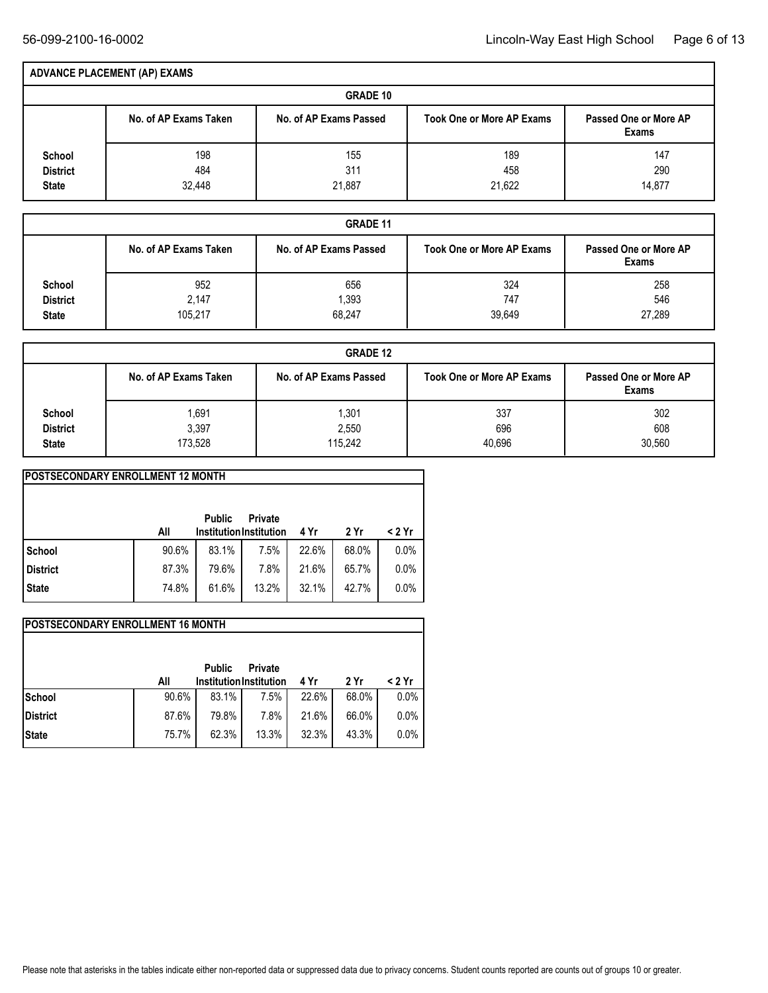|                                           | <b>ADVANCE PLACEMENT (AP) EXAMS</b> |                        |                                  |                                       |  |  |  |  |  |  |  |
|-------------------------------------------|-------------------------------------|------------------------|----------------------------------|---------------------------------------|--|--|--|--|--|--|--|
| <b>GRADE 10</b>                           |                                     |                        |                                  |                                       |  |  |  |  |  |  |  |
|                                           | No. of AP Exams Taken               | No. of AP Exams Passed | <b>Took One or More AP Exams</b> | Passed One or More AP<br><b>Exams</b> |  |  |  |  |  |  |  |
| School<br><b>District</b><br><b>State</b> | 198<br>484<br>32,448                | 155<br>311<br>21,887   | 189<br>458<br>21,622             | 147<br>290<br>14.877                  |  |  |  |  |  |  |  |

|                 | <b>GRADE 11</b>       |                        |                                  |                                       |  |  |  |  |  |  |  |  |
|-----------------|-----------------------|------------------------|----------------------------------|---------------------------------------|--|--|--|--|--|--|--|--|
|                 | No. of AP Exams Taken | No. of AP Exams Passed | <b>Took One or More AP Exams</b> | Passed One or More AP<br><b>Exams</b> |  |  |  |  |  |  |  |  |
| School          | 952                   | 656                    | 324                              | 258                                   |  |  |  |  |  |  |  |  |
| <b>District</b> | 2,147                 | ,393                   | 747                              | 546                                   |  |  |  |  |  |  |  |  |
| <b>State</b>    | 105,217               | 68,247                 | 39,649                           | 27,289                                |  |  |  |  |  |  |  |  |

|                 | <b>GRADE 12</b>       |                        |                                  |                                |  |  |  |  |  |  |  |
|-----------------|-----------------------|------------------------|----------------------------------|--------------------------------|--|--|--|--|--|--|--|
|                 | No. of AP Exams Taken | No. of AP Exams Passed | <b>Took One or More AP Exams</b> | Passed One or More AP<br>Exams |  |  |  |  |  |  |  |
| School          | 691,ا                 | .301                   | 337                              | 302                            |  |  |  |  |  |  |  |
| <b>District</b> | 3,397                 | 2,550                  | 696                              | 608                            |  |  |  |  |  |  |  |
| <b>State</b>    | 173,528               | 115.242                | 40,696                           | 30,560                         |  |  |  |  |  |  |  |

| <b>IPOSTSECONDARY ENROLLMENT 12 MONTH</b> |       |                                                 |                |       |       |        |  |  |  |  |  |  |
|-------------------------------------------|-------|-------------------------------------------------|----------------|-------|-------|--------|--|--|--|--|--|--|
|                                           | All   | <b>Public</b><br><b>Institution Institution</b> | <b>Private</b> | 4 Yr  | 2 Yr  | < 2 Yr |  |  |  |  |  |  |
| School                                    | 90.6% | 83.1%                                           | 7.5%           | 22.6% | 68.0% | 0.0%   |  |  |  |  |  |  |
| <b>District</b>                           | 87.3% | 79.6%                                           | 7.8%           | 21.6% | 65.7% | 0.0%   |  |  |  |  |  |  |
| <b>State</b>                              | 74.8% | 61.6%                                           | 13.2%          | 32.1% | 42.7% | 0.0%   |  |  |  |  |  |  |

| <b>IPOSTSECONDARY ENROLLMENT 16 MONTH</b> |       |                                                 |                |       |       |        |  |  |  |  |  |  |
|-------------------------------------------|-------|-------------------------------------------------|----------------|-------|-------|--------|--|--|--|--|--|--|
|                                           | All   | <b>Public</b><br><b>Institution Institution</b> | <b>Private</b> | 4 Yr  | 2 Yr  | < 2 Yr |  |  |  |  |  |  |
| <b>School</b>                             | 90.6% | 83.1%                                           | 7.5%           | 22.6% | 68.0% | 0.0%   |  |  |  |  |  |  |
| <b>District</b>                           | 87.6% | 79.8%                                           | 7.8%           | 21.6% | 66.0% | 0.0%   |  |  |  |  |  |  |
| <b>State</b>                              | 75.7% | 62.3%                                           | 13.3%          | 32.3% | 43.3% | 0.0%   |  |  |  |  |  |  |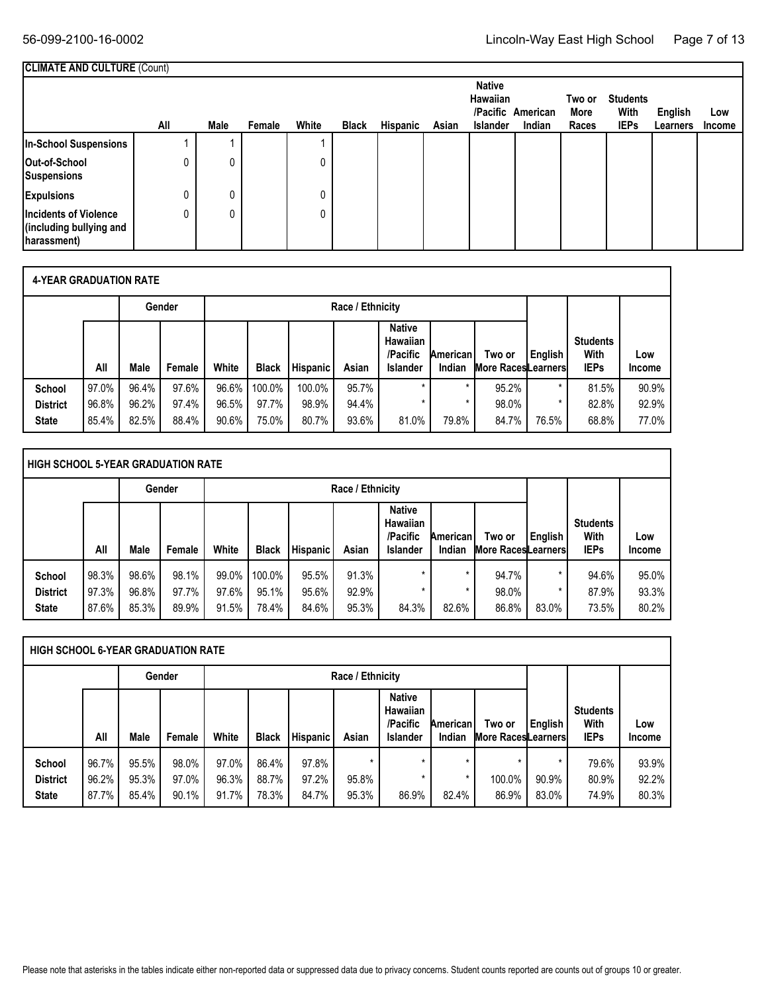|                                                                         | <b>CLIMATE AND CULTURE (Count)</b> |             |        |       |              |          |       |                                                     |                             |                         |                                        |                     |               |
|-------------------------------------------------------------------------|------------------------------------|-------------|--------|-------|--------------|----------|-------|-----------------------------------------------------|-----------------------------|-------------------------|----------------------------------------|---------------------|---------------|
|                                                                         | All                                | <b>Male</b> | Female | White | <b>Black</b> | Hispanic | Asian | <b>Native</b><br><b>Hawaiian</b><br><b>Islander</b> | /Pacific American<br>Indian | Two or<br>More<br>Races | <b>Students</b><br>With<br><b>IEPs</b> | English<br>Learners | Low<br>Income |
| In-School Suspensions                                                   |                                    |             |        |       |              |          |       |                                                     |                             |                         |                                        |                     |               |
| Out-of-School<br>Suspensions                                            | 0                                  |             |        | 0     |              |          |       |                                                     |                             |                         |                                        |                     |               |
| <b>Expulsions</b>                                                       | 0                                  |             |        | 0     |              |          |       |                                                     |                             |                         |                                        |                     |               |
| <b>Incidents of Violence</b><br>(including bullying and<br>(harassment) | 0                                  |             |        | 0     |              |          |       |                                                     |                             |                         |                                        |                     |               |

|                 | <b>4-YEAR GRADUATION RATE</b> |       |        |                  |              |                 |       |                                                                 |                    |                                      |         |                                        |                      |
|-----------------|-------------------------------|-------|--------|------------------|--------------|-----------------|-------|-----------------------------------------------------------------|--------------------|--------------------------------------|---------|----------------------------------------|----------------------|
| Gender          |                               |       |        | Race / Ethnicity |              |                 |       |                                                                 |                    |                                      |         |                                        |                      |
|                 | All                           | Male  | Female | White            | <b>Black</b> | <b>Hispanic</b> | Asian | <b>Native</b><br><b>Hawaiian</b><br>/Pacific<br><b>Islander</b> | American<br>Indian | Two or<br><b>More Races</b> Learners | English | <b>Students</b><br>With<br><b>IEPs</b> | Low<br><b>Income</b> |
| School          | 97.0%                         | 96.4% | 97.6%  | 96.6%            | 100.0%       | 100.0%          | 95.7% | $\star$                                                         |                    | 95.2%                                | $\star$ | 81.5%                                  | 90.9%                |
| <b>District</b> | 96.8%                         | 96.2% | 97.4%  | 96.5%            | 97.7%        | 98.9%           | 94.4% | $\star$                                                         | $\star$            | 98.0%                                |         | 82.8%                                  | 92.9%                |
| <b>State</b>    | 85.4%                         | 82.5% | 88.4%  | 90.6%            | 75.0%        | 80.7%           | 93.6% | 81.0%                                                           | 79.8%              | 84.7%                                | 76.5%   | 68.8%                                  | 77.0%                |

|                                           | HIGH SCHOOL 5-YEAR GRADUATION RATE |                         |                         |                            |                          |                         |                         |                                                                 |                             |                                      |            |                                        |                         |  |
|-------------------------------------------|------------------------------------|-------------------------|-------------------------|----------------------------|--------------------------|-------------------------|-------------------------|-----------------------------------------------------------------|-----------------------------|--------------------------------------|------------|----------------------------------------|-------------------------|--|
|                                           |                                    |                         | Gender                  |                            |                          |                         | Race / Ethnicity        |                                                                 |                             |                                      |            |                                        |                         |  |
|                                           | All                                | Male                    | Female                  | White                      | <b>Black</b>             | <b>Hispanic</b>         | Asian                   | <b>Native</b><br><b>Hawaiian</b><br>/Pacific<br><b>Islander</b> | Americanl<br>Indian         | Two or<br><b>More Races</b> Learners | English    | <b>Students</b><br>With<br><b>IEPs</b> | Low<br><b>Income</b>    |  |
| School<br><b>District</b><br><b>State</b> | 98.3%<br>97.3%<br>87.6%            | 98.6%<br>96.8%<br>85.3% | 98.1%<br>97.7%<br>89.9% | $99.0\%$<br>97.6%<br>91.5% | 100.0%<br>95.1%<br>78.4% | 95.5%<br>95.6%<br>84.6% | 91.3%<br>92.9%<br>95.3% | $\star$<br>$\star$<br>84.3%                                     | $\star$<br>$\star$<br>82.6% | 94.7%<br>98.0%<br>86.8%              | *<br>83.0% | 94.6%<br>87.9%<br>73.5%                | 95.0%<br>93.3%<br>80.2% |  |

| <b>HIGH SCHOOL 6-YEAR GRADUATION RATE</b> |       |       |        |       |                                                                        |          |                                     |         |                                        |               |       |       |       |  |  |
|-------------------------------------------|-------|-------|--------|-------|------------------------------------------------------------------------|----------|-------------------------------------|---------|----------------------------------------|---------------|-------|-------|-------|--|--|
|                                           |       |       | Gender |       |                                                                        |          | Race / Ethnicity                    |         |                                        |               |       |       |       |  |  |
|                                           | All   | Male  | Female | White | <b>Black</b>                                                           | Hispanic | Two or<br><b>More RacesLearners</b> | English | <b>Students</b><br>With<br><b>IEPs</b> | Low<br>Income |       |       |       |  |  |
| School                                    | 96.7% | 95.5% | 98.0%  | 97.0% | 86.4%                                                                  | 97.8%    | $\star$                             | $\star$ | ÷                                      | ÷             |       | 79.6% | 93.9% |  |  |
| <b>District</b>                           | 96.2% | 95.3% | 97.0%  | 96.3% | 92.2%<br>97.2%<br>100.0%<br>90.9%<br>88.7%<br>95.8%<br>80.9%<br>×<br>× |          |                                     |         |                                        |               |       |       |       |  |  |
| <b>State</b>                              | 87.7% | 85.4% | 90.1%  | 91.7% | 78.3%                                                                  | 84.7%    | 95.3%                               | 86.9%   | 82.4%                                  | 86.9%         | 83.0% | 74.9% | 80.3% |  |  |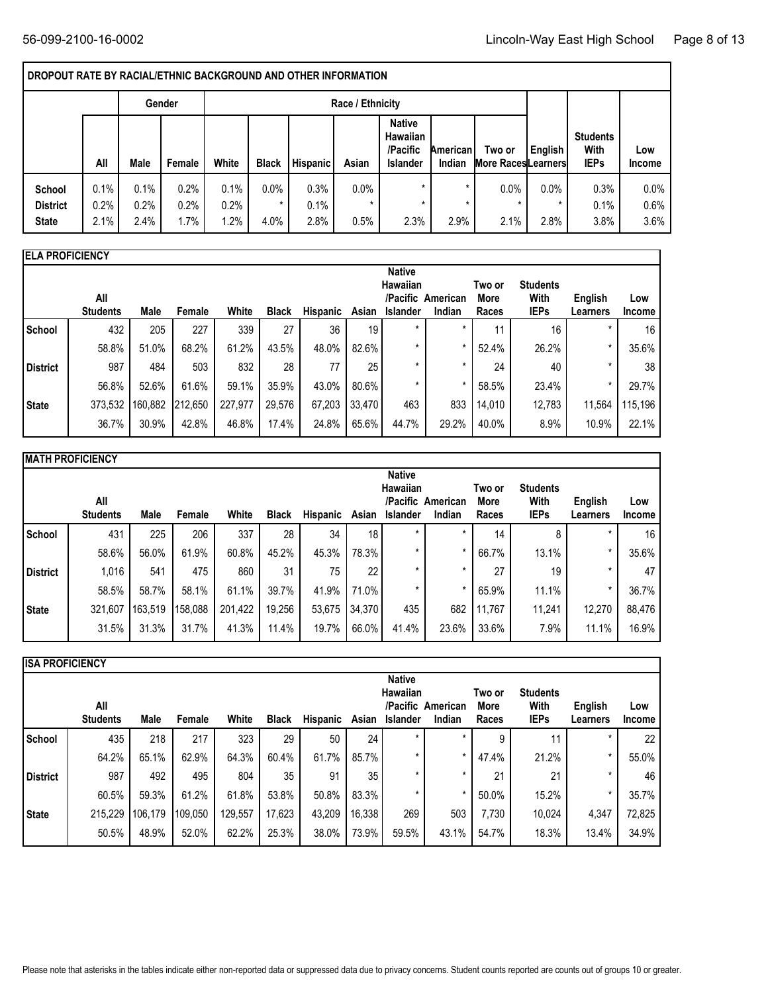### **DROPOUT RATE BY RACIAL/ETHNIC BACKGROUND AND OTHER INFORMATION**

|                                           |                      |                      | Gender               |                      |              |                      | Race / Ethnicity           |                                                                 |                     |                                     |                         |                                        |                         |
|-------------------------------------------|----------------------|----------------------|----------------------|----------------------|--------------|----------------------|----------------------------|-----------------------------------------------------------------|---------------------|-------------------------------------|-------------------------|----------------------------------------|-------------------------|
|                                           | All                  | Male                 | Female               | White                | <b>Black</b> | Hispanic             | Asian                      | <b>Native</b><br><b>Hawaiian</b><br>/Pacific<br><b>Islander</b> | Americanl<br>Indian | Two or<br><b>More RacesLearners</b> | English                 | <b>Students</b><br>With<br><b>IEPs</b> | Low<br><b>Income</b>    |
| School<br><b>District</b><br><b>State</b> | 0.1%<br>0.2%<br>2.1% | 0.1%<br>0.2%<br>2.4% | 0.2%<br>0.2%<br>1.7% | 0.1%<br>0.2%<br>1.2% | 0.0%<br>4.0% | 0.3%<br>0.1%<br>2.8% | $0.0\%$<br>$\star$<br>0.5% | $\star$<br>$\star$<br>2.3%                                      | $\star$<br>2.9%     | 0.0%<br>2.1%                        | 0.0%<br>$\star$<br>2.8% | 0.3%<br>0.1%<br>3.8%                   | $0.0\%$<br>0.6%<br>3.6% |

| <b>ELA PROFICIENCY</b> |                        |         |         |         |              |                 |        |                                                                          |        |                         |                                        |                     |                      |
|------------------------|------------------------|---------|---------|---------|--------------|-----------------|--------|--------------------------------------------------------------------------|--------|-------------------------|----------------------------------------|---------------------|----------------------|
|                        | All<br><b>Students</b> | Male    | Female  | White   | <b>Black</b> | <b>Hispanic</b> | Asian  | <b>Native</b><br><b>Hawaiian</b><br>/Pacific American<br><b>Islander</b> | Indian | Two or<br>More<br>Races | <b>Students</b><br>With<br><b>IEPs</b> | English<br>Learners | Low<br><b>Income</b> |
| School                 | 432                    | 205     | 227     | 339     | 27           | 36              | 19     | $\star$                                                                  |        | 11                      | 16                                     |                     | 16                   |
|                        | 58.8%                  | 51.0%   | 68.2%   | 61.2%   | 43.5%        | 48.0%           | 82.6%  | $\star$                                                                  |        | 52.4%                   | 26.2%                                  | $\star$             | 35.6%                |
| <b>District</b>        | 987                    | 484     | 503     | 832     | 28           | 77              | 25     | $\star$                                                                  |        | 24                      | 40                                     | $\star$             | 38                   |
|                        | 56.8%                  | 52.6%   | 61.6%   | 59.1%   | 35.9%        | 43.0%           | 80.6%  | *                                                                        |        | 58.5%                   | 23.4%                                  | $\star$             | 29.7%                |
| State                  | 373,532                | 160,882 | 212,650 | 227,977 | 29,576       | 67,203          | 33,470 | 463                                                                      | 833    | 14,010                  | 12,783                                 | 11,564              | 115,196              |
|                        | 36.7%                  | 30.9%   | 42.8%   | 46.8%   | 17.4%        | 24.8%           | 65.6%  | 44.7%                                                                    | 29.2%  | 40.0%                   | 8.9%                                   | 10.9%               | 22.1%                |

|          | <b>MATH PROFICIENCY</b> |         |         |         |              |                 |        |                                                     |                             |                         |                                        |                     |               |
|----------|-------------------------|---------|---------|---------|--------------|-----------------|--------|-----------------------------------------------------|-----------------------------|-------------------------|----------------------------------------|---------------------|---------------|
|          | All<br><b>Students</b>  | Male    | Female  | White   | <b>Black</b> | <b>Hispanic</b> | Asian  | <b>Native</b><br><b>Hawaiian</b><br><b>Islander</b> | /Pacific American<br>Indian | Two or<br>More<br>Races | <b>Students</b><br>With<br><b>IEPs</b> | English<br>Learners | Low<br>Income |
| School   | 431                     | 225     | 206     | 337     | 28           | 34              | 18     | $\star$                                             |                             | 14                      | 8                                      |                     | 16            |
|          | 58.6%                   | 56.0%   | 61.9%   | 60.8%   | 45.2%        | 45.3%           | 78.3%  | *                                                   |                             | 66.7%                   | 13.1%                                  |                     | 35.6%         |
| District | 1,016                   | 541     | 475     | 860     | 31           | 75              | 22     | $\star$                                             | $\star$                     | 27                      | 19                                     | $\star$             | 47            |
|          | 58.5%                   | 58.7%   | 58.1%   | 61.1%   | 39.7%        | 41.9%           | 71.0%  | *                                                   | $\star$                     | 65.9%                   | 11.1%                                  | $\ast$              | 36.7%         |
| State    | 321,607                 | 163,519 | 158,088 | 201,422 | 19,256       | 53,675          | 34,370 | 435                                                 | 682                         | 11,767                  | 11,241                                 | 12,270              | 88,476        |
|          | 31.5%                   | 31.3%   | 31.7%   | 41.3%   | 11.4%        | 19.7%           | 66.0%  | 41.4%                                               | 23.6%                       | 33.6%                   | 7.9%                                   | 11.1%               | 16.9%         |

| <b>IISA PROFICIENCY</b> |                        |         |         |         |              |          |        |                                              |                             |                         |                                        |                     |                      |
|-------------------------|------------------------|---------|---------|---------|--------------|----------|--------|----------------------------------------------|-----------------------------|-------------------------|----------------------------------------|---------------------|----------------------|
|                         | All<br><b>Students</b> | Male    | Female  | White   | <b>Black</b> | Hispanic | Asian  | <b>Native</b><br>Hawaiian<br><b>Islander</b> | /Pacific American<br>Indian | Two or<br>More<br>Races | <b>Students</b><br>With<br><b>IEPs</b> | English<br>Learners | Low<br><b>Income</b> |
| School                  | 435                    | 218     | 217     | 323     | 29           | 50       | 24     | $\star$                                      |                             | 9                       | 11                                     |                     | 22                   |
|                         | 64.2%                  | 65.1%   | 62.9%   | 64.3%   | 60.4%        | 61.7%    | 85.7%  | $\star$                                      | $\star$                     | 47.4%                   | 21.2%                                  |                     | 55.0%                |
| District                | 987                    | 492     | 495     | 804     | 35           | 91       | 35     | $\star$                                      | $\star$                     | 21                      | 21                                     |                     | 46                   |
|                         | 60.5%                  | 59.3%   | 61.2%   | 61.8%   | 53.8%        | 50.8%    | 83.3%  | $\star$                                      |                             | 50.0%                   | 15.2%                                  |                     | 35.7%                |
| State                   | 215,229                | 106,179 | 109,050 | 129,557 | 17,623       | 43,209   | 16,338 | 269                                          | 503                         | 7,730                   | 10,024                                 | 4,347               | 72,825               |
|                         | 50.5%                  | 48.9%   | 52.0%   | 62.2%   | 25.3%        | 38.0%    | 73.9%  | 59.5%                                        | 43.1%                       | 54.7%                   | 18.3%                                  | 13.4%               | 34.9%                |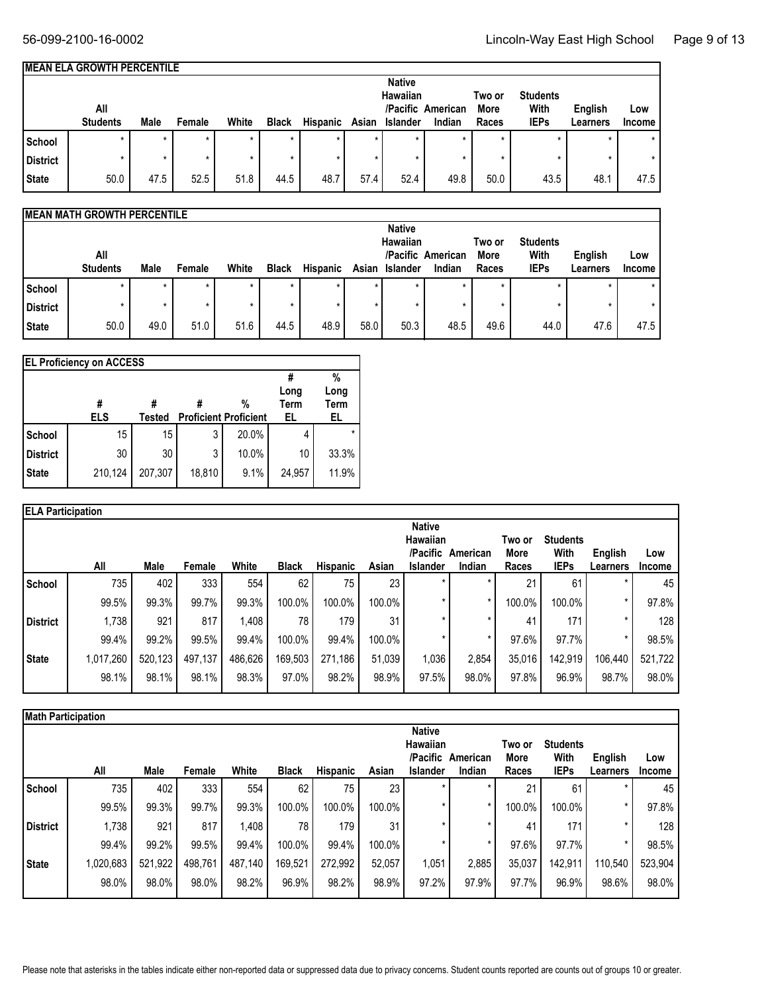٦

| IMEAN ELA GROWTH PERCENTILE |  |  |  |  |
|-----------------------------|--|--|--|--|
|-----------------------------|--|--|--|--|

|                 |                 |         |         |       |              |                 |         | <b>Native</b>   |                   |         |                 |                |               |
|-----------------|-----------------|---------|---------|-------|--------------|-----------------|---------|-----------------|-------------------|---------|-----------------|----------------|---------------|
|                 |                 |         |         |       |              |                 |         | <b>Hawaiian</b> |                   | Two or  | <b>Students</b> |                |               |
|                 | All             |         |         |       |              |                 |         |                 | /Pacific American | More    | With            | <b>English</b> | Low           |
|                 | <b>Students</b> | Male    | Female  | White | <b>Black</b> | <b>Hispanic</b> | Asian   | Islander        | Indian            | Races   | <b>IEPs</b>     | Learners       | <b>Income</b> |
| School          | $\star$         | $\star$ | $\star$ |       |              |                 | $\star$ | $\star$         | $\star$           | $\star$ |                 |                |               |
| <b>District</b> |                 | $\star$ |         |       |              |                 |         |                 |                   |         |                 |                |               |
| <b>State</b>    | 50.0            | 47.5    | 52.5    | 51.8  | 44.5         | 48.7            | 57.4    | 52.4            | 49.8              | 50.0    | 43.5            | 48.1           | 47.5          |

#### **MEAN MATH GROWTH PERCENTILE**

|                 |                        |      |         |       |              |                 |         | <b>Native</b>   |                             |               |                     |                     |               |
|-----------------|------------------------|------|---------|-------|--------------|-----------------|---------|-----------------|-----------------------------|---------------|---------------------|---------------------|---------------|
|                 |                        |      |         |       | Two or       | <b>Students</b> |         |                 |                             |               |                     |                     |               |
|                 | All<br><b>Students</b> | Male | Female  | White | <b>Black</b> | <b>Hispanic</b> | Asian   | <b>Islander</b> | /Pacific American<br>Indian | More<br>Races | With<br><b>IEPs</b> | English<br>Learners | Low<br>Income |
| School          |                        |      | $\star$ |       | $\star$      |                 | $\star$ | $\ast$          |                             | $\star$       |                     |                     |               |
| <b>District</b> |                        |      |         |       |              |                 |         |                 |                             |               |                     |                     |               |
| State           | 50.0                   | 49.0 | 51.0    | 51.6  | 44.5         | 48.9            | 58.0    | 50.3            | 48.5                        | 49.6          | 44.0                | 47.6                | 47.5          |

|                 | <b>EL Proficiency on ACCESS</b> |         |        |                                   |                    |                         |
|-----------------|---------------------------------|---------|--------|-----------------------------------|--------------------|-------------------------|
|                 | ELS                             | Tested  |        | %<br><b>Proficient Proficient</b> | Long<br>Term<br>EL | %<br>Long<br>Term<br>EL |
| School          | 15                              | 15      | 3      | 20.0%                             | 4                  | $\star$                 |
| <b>District</b> | 30                              | 30      | 3      | 10.0%                             | 10                 | 33.3%                   |
| <b>State</b>    | 210,124                         | 207,307 | 18,810 | 9.1%                              | 24,957             | 11.9%                   |

| <b>ELA Participation</b> |           |         |         |         |              |          |        |                                                          |                    |                         |                                        |                     |                      |
|--------------------------|-----------|---------|---------|---------|--------------|----------|--------|----------------------------------------------------------|--------------------|-------------------------|----------------------------------------|---------------------|----------------------|
|                          | All       | Male    | Female  | White   | <b>Black</b> | Hispanic | Asian  | <b>Native</b><br>Hawaiian<br>/Pacific<br><b>Islander</b> | American<br>Indian | Two or<br>More<br>Races | <b>Students</b><br>With<br><b>IEPs</b> | English<br>Learners | Low<br><b>Income</b> |
| School                   | 735       | 402     | 333     | 554     | 62           | 75       | 23     | $\star$                                                  |                    | 21                      | 61                                     |                     | 45                   |
|                          | 99.5%     | 99.3%   | 99.7%   | 99.3%   | 100.0%       | 100.0%   | 100.0% | $\star$                                                  |                    | 100.0%                  | 100.0%                                 | $\star$             | 97.8%                |
| District                 | 1,738     | 921     | 817     | 1,408   | 78           | 179      | 31     | $\star$                                                  |                    | 41                      | 171                                    | ×                   | 128                  |
|                          | 99.4%     | 99.2%   | 99.5%   | 99.4%   | 100.0%       | 99.4%    | 100.0% |                                                          | ×                  | 97.6%                   | 97.7%                                  | $\star$             | 98.5%                |
|                          | 1,017,260 | 520,123 | 497,137 | 486,626 | 169,503      | 271,186  | 51,039 | 1,036                                                    | 2,854              | 35,016                  | 142,919                                | 106,440             | 521,722              |
|                          | 98.1%     | 98.1%   | 98.1%   | 98.3%   | 97.0%        | 98.2%    | 98.9%  | 97.5%                                                    | 98.0%              | 97.8%                   | 96.9%                                  | 98.7%               | 98.0%                |
| State                    |           |         |         |         |              |          |        |                                                          |                    |                         |                                        |                     |                      |

|                 | <b>Math Participation</b> |         |         |         |              |                 |        |                                                          |                    |                         |                                        |                     |                      |  |  |
|-----------------|---------------------------|---------|---------|---------|--------------|-----------------|--------|----------------------------------------------------------|--------------------|-------------------------|----------------------------------------|---------------------|----------------------|--|--|
|                 | All                       | Male    | Female  | White   | <b>Black</b> | <b>Hispanic</b> | Asian  | <b>Native</b><br>Hawaiian<br>/Pacific<br><b>Islander</b> | American<br>Indian | Two or<br>More<br>Races | <b>Students</b><br>With<br><b>IEPs</b> | English<br>Learners | Low<br><b>Income</b> |  |  |
| School          | 735                       | 402     | 333     | 554     | 62           | 75              | 23     |                                                          |                    | 21                      | 61                                     |                     | 45                   |  |  |
|                 | 99.5%                     | 99.3%   | 99.7%   | 99.3%   | 100.0%       | 100.0%          | 100.0% |                                                          |                    | 100.0%                  | 100.0%                                 |                     | 97.8%                |  |  |
| <b>District</b> | 1,738                     | 921     | 817     | 1.408   | 78           | 179             | 31     |                                                          |                    | 41                      | 171                                    |                     | 128                  |  |  |
|                 | 99.4%                     | 99.2%   | 99.5%   | 99.4%   | 100.0%       | 99.4%           | 100.0% |                                                          |                    | 97.6%                   | 97.7%                                  |                     | 98.5%                |  |  |
| <b>State</b>    | 1,020,683                 | 521,922 | 498,761 | 487,140 | 169,521      | 272,992         | 52,057 | 1,051                                                    | 2,885              | 35,037                  | 142,911                                | 110,540             | 523,904              |  |  |
|                 | 98.0%                     | 98.0%   | 98.0%   | 98.2%   | 96.9%        | 98.2%           | 98.9%  | 97.2%                                                    | 97.9%              | 97.7%                   | 96.9%                                  | 98.6%               | 98.0%                |  |  |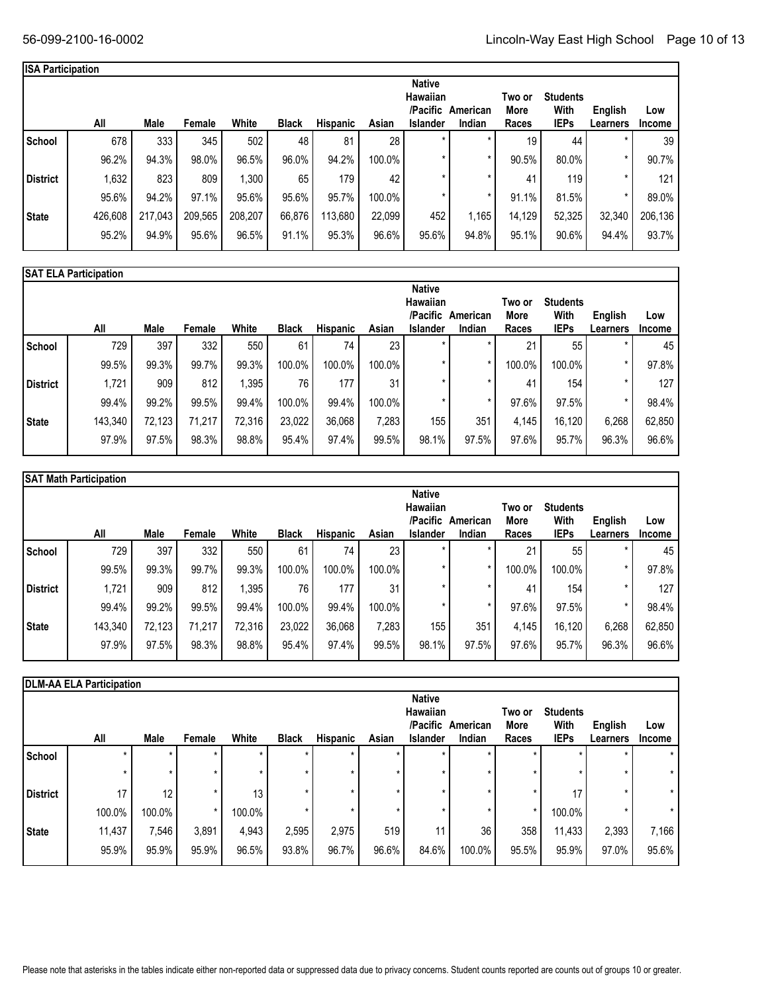| <b>ISA Participation</b> |         |         |         |         |              |                 |        |                                                          |                    |                         |                                        |                     |                      |
|--------------------------|---------|---------|---------|---------|--------------|-----------------|--------|----------------------------------------------------------|--------------------|-------------------------|----------------------------------------|---------------------|----------------------|
|                          | All     | Male    | Female  | White   | <b>Black</b> | <b>Hispanic</b> | Asian  | <b>Native</b><br>Hawaiian<br>/Pacific<br><b>Islander</b> | American<br>Indian | Two or<br>More<br>Races | <b>Students</b><br>With<br><b>IEPs</b> | English<br>Learners | Low<br><b>Income</b> |
| School                   | 678     | 333     | 345     | 502     | 48           | 81              | 28     | $\star$                                                  | $\star$            | 19                      | 44                                     | $\star$             | 39                   |
|                          | 96.2%   | 94.3%   | 98.0%   | 96.5%   | 96.0%        | 94.2%           | 100.0% | ÷                                                        |                    | 90.5%                   | 80.0%                                  |                     | 90.7%                |
| <b>District</b>          | 1,632   | 823     | 809     | 1,300   | 65           | 179             | 42     | $\star$                                                  | $\star$            | 41                      | 119                                    | $\star$             | 121                  |
|                          | 95.6%   | 94.2%   | 97.1%   | 95.6%   | 95.6%        | 95.7%           | 100.0% | $\star$                                                  |                    | 91.1%                   | 81.5%                                  | $\star$             | 89.0%                |
| <b>State</b>             | 426,608 | 217,043 | 209,565 | 208,207 | 66,876       | 113,680         | 22.099 | 452                                                      | 1,165              | 14,129                  | 52,325                                 | 32,340              | 206,136              |
|                          | 95.2%   | 94.9%   | 95.6%   | 96.5%   | 91.1%        | 95.3%           | 96.6%  | 95.6%                                                    | 94.8%              | 95.1%                   | 90.6%                                  | 94.4%               | 93.7%                |
|                          |         |         |         |         |              |                 |        |                                                          |                    |                         |                                        |                     |                      |

|                 | <b>SAT ELA Participation</b> |        |        |        |              |                 |        |                                                   |                    |                         |                                        |                     |                      |
|-----------------|------------------------------|--------|--------|--------|--------------|-----------------|--------|---------------------------------------------------|--------------------|-------------------------|----------------------------------------|---------------------|----------------------|
|                 | All                          | Male   | Female | White  | <b>Black</b> | <b>Hispanic</b> | Asian  | <b>Native</b><br>Hawaiian<br>/Pacific<br>Islander | American<br>Indian | Two or<br>More<br>Races | <b>Students</b><br>With<br><b>IEPs</b> | English<br>Learners | Low<br><b>Income</b> |
| School          | 729                          | 397    | 332    | 550    | 61           | 74              | 23     |                                                   |                    | 21                      | 55                                     |                     | 45                   |
|                 | 99.5%                        | 99.3%  | 99.7%  | 99.3%  | 100.0%       | 100.0%          | 100.0% |                                                   | $\star$            | 100.0%                  | 100.0%                                 | $\star$             | 97.8%                |
| <b>District</b> | 1,721                        | 909    | 812    | 1,395  | 76           | 177             | 31     |                                                   | $\star$            | 41                      | 154                                    |                     | 127                  |
|                 | 99.4%                        | 99.2%  | 99.5%  | 99.4%  | 100.0%       | 99.4%           | 100.0% |                                                   |                    | 97.6%                   | 97.5%                                  |                     | 98.4%                |
| State           | 143,340                      | 72,123 | 71,217 | 72,316 | 23,022       | 36,068          | 7,283  | 155                                               | 351                | 4.145                   | 16,120                                 | 6,268               | 62,850               |
|                 | 97.9%                        | 97.5%  | 98.3%  | 98.8%  | 95.4%        | 97.4%           | 99.5%  | 98.1%                                             | 97.5%              | 97.6%                   | 95.7%                                  | 96.3%               | 96.6%                |
|                 |                              |        |        |        |              |                 |        |                                                   |                    |                         |                                        |                     |                      |

|                 | <b>SAT Math Participation</b> |        |        |        |              |                 |        |                                                          |                    |                         |                                        |                     |                      |
|-----------------|-------------------------------|--------|--------|--------|--------------|-----------------|--------|----------------------------------------------------------|--------------------|-------------------------|----------------------------------------|---------------------|----------------------|
|                 | All                           | Male   | Female | White  | <b>Black</b> | <b>Hispanic</b> | Asian  | <b>Native</b><br>Hawaiian<br>/Pacific<br><b>Islander</b> | American<br>Indian | Two or<br>More<br>Races | <b>Students</b><br>With<br><b>IEPs</b> | English<br>Learners | Low<br><b>Income</b> |
| School          | 729                           | 397    | 332    | 550    | 61           | 74              | 23     |                                                          |                    | 21                      | 55                                     | $\star$             | 45                   |
|                 | 99.5%                         | 99.3%  | 99.7%  | 99.3%  | 100.0%       | 100.0%          | 100.0% |                                                          |                    | 100.0%                  | 100.0%                                 | $\star$             | 97.8%                |
| <b>District</b> | 1,721                         | 909    | 812    | 1,395  | 76           | 177             | 31     |                                                          |                    | 41                      | 154                                    | $\star$             | 127                  |
|                 | 99.4%                         | 99.2%  | 99.5%  | 99.4%  | 100.0%       | 99.4%           | 100.0% |                                                          |                    | 97.6%                   | 97.5%                                  | $\star$             | 98.4%                |
| State           | 143,340                       | 72,123 | 71,217 | 72,316 | 23,022       | 36,068          | 7,283  | 155                                                      | 351                | 4,145                   | 16,120                                 | 6,268               | 62,850               |
|                 | 97.9%                         | 97.5%  | 98.3%  | 98.8%  | 95.4%        | 97.4%           | 99.5%  | 98.1%                                                    | 97.5%              | 97.6%                   | 95.7%                                  | 96.3%               | 96.6%                |

|                 | <b>DLM-AA ELA Participation</b> |        |         |         |              |          |       |                                                   |                    |                         |                                        |                     |                      |
|-----------------|---------------------------------|--------|---------|---------|--------------|----------|-------|---------------------------------------------------|--------------------|-------------------------|----------------------------------------|---------------------|----------------------|
|                 | All                             | Male   | Female  | White   | <b>Black</b> | Hispanic | Asian | <b>Native</b><br>Hawaiian<br>/Pacific<br>Islander | American<br>Indian | Two or<br>More<br>Races | <b>Students</b><br>With<br><b>IEPs</b> | English<br>Learners | Low<br><b>Income</b> |
| School          |                                 |        |         | ⊀       | $\star$      |          |       | $\ast$                                            |                    |                         |                                        |                     | $\star$              |
|                 |                                 |        | $\star$ | $\star$ | $\star$      | ÷        |       | $\star$                                           |                    |                         |                                        |                     | *                    |
| <b>District</b> | 17                              | 12     |         | 13      |              |          |       | $\star$                                           |                    |                         | 17                                     |                     | $\star$              |
|                 | 100.0%                          | 100.0% | $\star$ | 100.0%  |              |          | ×     | $\star$                                           | $\star$            | $\star$                 | 100.0%                                 |                     | $\star$              |
| State           | 11,437                          | 7,546  | 3,891   | 4,943   | 2,595        | 2,975    | 519   | 11                                                | 36                 | 358                     | 11,433                                 | 2,393               | 7,166                |
|                 | 95.9%                           | 95.9%  | 95.9%   | 96.5%   | 93.8%        | 96.7%    | 96.6% | 84.6%                                             | 100.0%             | 95.5%                   | 95.9%                                  | 97.0%               | 95.6%                |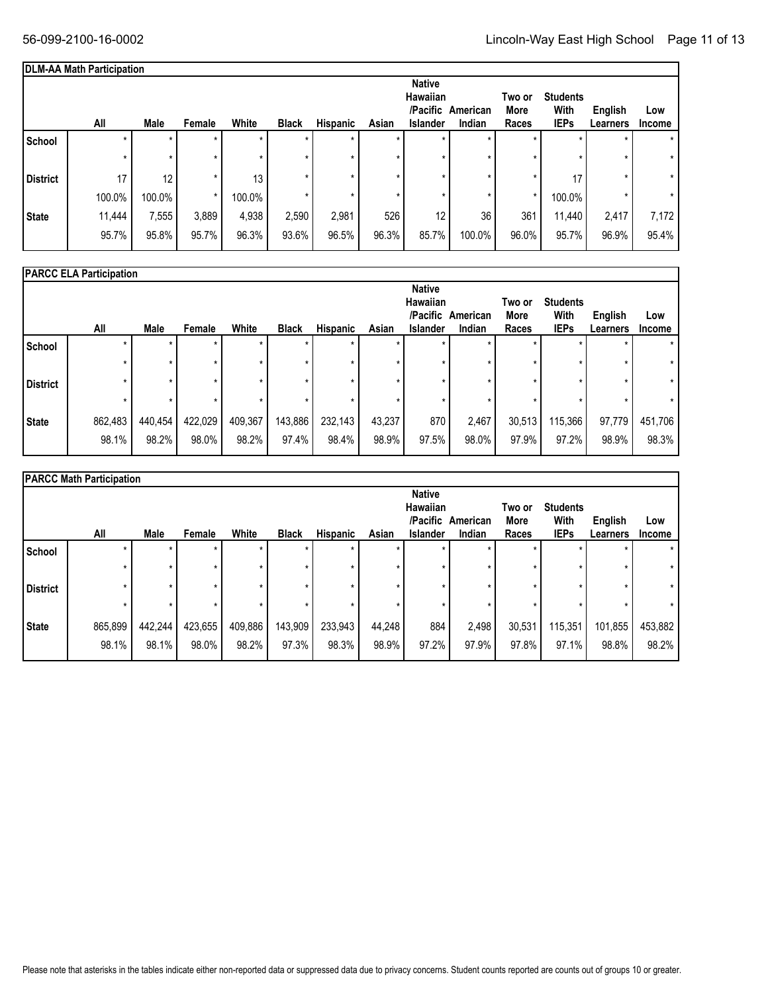|                 | <b>DLM-AA Math Participation</b> |         |         |         |              |          |         |                                                          |                    |                         |                                        |                     |                      |
|-----------------|----------------------------------|---------|---------|---------|--------------|----------|---------|----------------------------------------------------------|--------------------|-------------------------|----------------------------------------|---------------------|----------------------|
|                 | All                              | Male    | Female  | White   | <b>Black</b> | Hispanic | Asian   | <b>Native</b><br>Hawaiian<br>/Pacific<br><b>Islander</b> | American<br>Indian | Two or<br>More<br>Races | <b>Students</b><br>With<br><b>IEPs</b> | English<br>Learners | Low<br><b>Income</b> |
| School          |                                  | $\star$ | $\star$ | $\star$ | $\star$      |          | $\star$ | $\star$                                                  |                    | $\star$                 |                                        | $\star$             | $\star$              |
|                 | ÷                                | $\star$ | $\star$ | ÷       | $\star$      | $\star$  | $\star$ |                                                          |                    | $\star$                 |                                        | $\star$             | $\star$              |
| <b>District</b> | 17                               | 12      | $\star$ | 13      | $\star$      |          | $\star$ |                                                          |                    | $\star$                 | 17                                     | $\star$             | $^\star$             |
|                 | 100.0%                           | 100.0%  | *       | 100.0%  | $\star$      |          | $\star$ | ×                                                        |                    | $\star$                 | 100.0%                                 | $\star$             | $\star$              |
| State           | 11,444                           | 7,555   | 3,889   | 4,938   | 2,590        | 2,981    | 526     | 12                                                       | 36                 | 361                     | 11,440                                 | 2,417               | 7,172                |
|                 | 95.7%                            | 95.8%   | 95.7%   | 96.3%   | 93.6%        | 96.5%    | 96.3%   | 85.7%                                                    | 100.0%             | 96.0%                   | 95.7%                                  | 96.9%               | 95.4%                |

|                 | <b>PARCC ELA Participation</b> |         |         |         |              |                 |        |                                                          |                    |                         |                                        |                     |                      |
|-----------------|--------------------------------|---------|---------|---------|--------------|-----------------|--------|----------------------------------------------------------|--------------------|-------------------------|----------------------------------------|---------------------|----------------------|
|                 | All                            | Male    | Female  | White   | <b>Black</b> | <b>Hispanic</b> | Asian  | <b>Native</b><br><b>Hawaiian</b><br>/Pacific<br>Islander | American<br>Indian | Two or<br>More<br>Races | <b>Students</b><br>With<br><b>IEPs</b> | English<br>Learners | Low<br><b>Income</b> |
| School          | $\star$                        |         | $\star$ | ÷       | $\star$      | $\star$         |        | $\star$                                                  |                    | $\star$                 |                                        |                     |                      |
|                 |                                |         | ×       |         | $\star$      |                 |        |                                                          |                    |                         |                                        |                     |                      |
| <b>District</b> |                                |         |         | ÷       | $\star$      |                 |        |                                                          | ÷                  | $\star$                 |                                        |                     |                      |
|                 |                                |         | ×       |         | $\star$      |                 |        |                                                          |                    | $\star$                 |                                        |                     |                      |
| <b>State</b>    | 862,483                        | 440,454 | 422,029 | 409,367 | 143,886      | 232,143         | 43,237 | 870                                                      | 2,467              | 30,513                  | 115,366                                | 97,779              | 451,706              |
|                 | 98.1%                          | 98.2%   | 98.0%   | 98.2%   | 97.4%        | 98.4%           | 98.9%  | 97.5%                                                    | 98.0%              | 97.9%                   | 97.2%                                  | 98.9%               | 98.3%                |

|                 | <b>PARCC Math Participation</b> |         |         |         |              |          |         |                                                          |                    |                         |                                        |                     |                      |
|-----------------|---------------------------------|---------|---------|---------|--------------|----------|---------|----------------------------------------------------------|--------------------|-------------------------|----------------------------------------|---------------------|----------------------|
|                 | All                             | Male    | Female  | White   | <b>Black</b> | Hispanic | Asian   | <b>Native</b><br>Hawaiian<br>/Pacific<br><b>Islander</b> | American<br>Indian | Two or<br>More<br>Races | <b>Students</b><br>With<br><b>IEPs</b> | English<br>Learners | Low<br><b>Income</b> |
| School          |                                 | $\star$ | $\star$ |         | $\star$      | $\star$  |         | $\star$                                                  |                    | $\star$                 |                                        |                     |                      |
|                 |                                 | $\star$ |         |         | $\star$      |          |         |                                                          |                    | $\star$                 |                                        |                     |                      |
| <b>District</b> |                                 | *       |         |         | ×            |          |         |                                                          |                    |                         |                                        |                     |                      |
|                 |                                 | $\star$ |         |         | $\star$      | $\star$  | $\star$ |                                                          |                    | $\star$                 |                                        |                     |                      |
| State           | 865,899                         | 442,244 | 423,655 | 409,886 | 143,909      | 233,943  | 44,248  | 884                                                      | 2,498              | 30,531                  | 115,351                                | 101,855             | 453,882              |
|                 | 98.1%                           | 98.1%   | 98.0%   | 98.2%   | 97.3%        | 98.3%    | 98.9%   | 97.2%                                                    | 97.9%              | 97.8%                   | 97.1%                                  | 98.8%               | 98.2%                |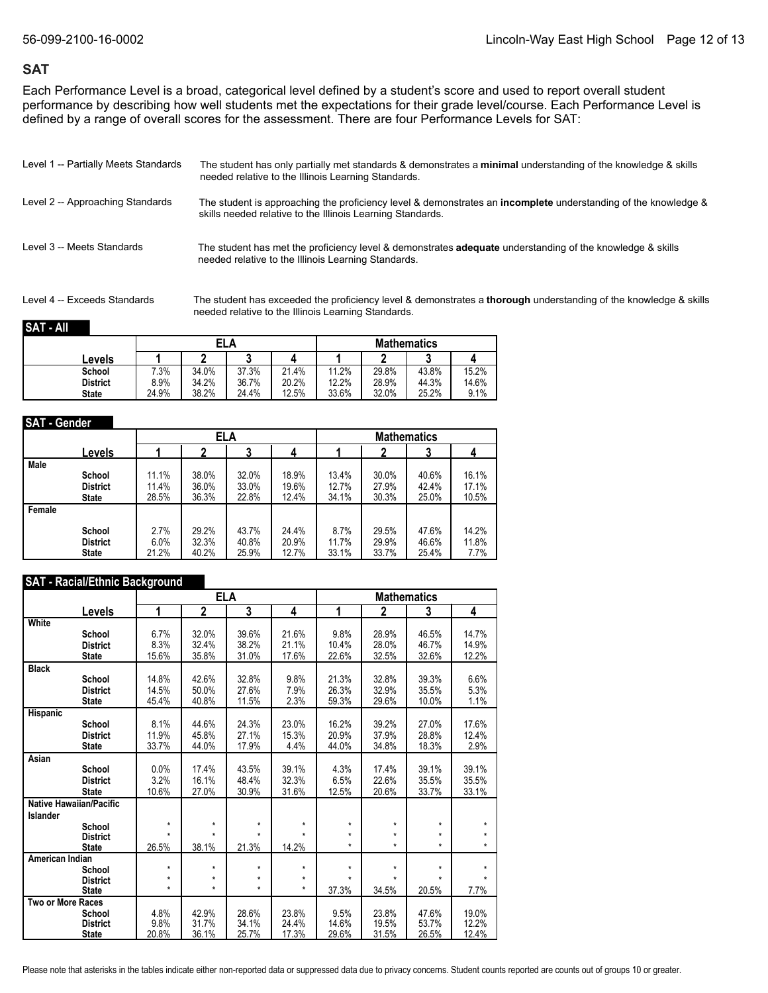### **SAT**

Each Performance Level is a broad, categorical level defined by a student's score and used to report overall student performance by describing how well students met the expectations for their grade level/course. Each Performance Level is defined by a range of overall scores for the assessment. There are four Performance Levels for SAT:

| Level 1 -- Partially Meets Standards | The student has only partially met standards & demonstrates a minimal understanding of the knowledge & skills<br>needed relative to the Illinois Learning Standards.                |
|--------------------------------------|-------------------------------------------------------------------------------------------------------------------------------------------------------------------------------------|
| Level 2 -- Approaching Standards     | The student is approaching the proficiency level & demonstrates an <b>incomplete</b> understanding of the knowledge &<br>skills needed relative to the Illinois Learning Standards. |
| Level 3 -- Meets Standards           | The student has met the proficiency level & demonstrates <b>adequate</b> understanding of the knowledge & skills<br>needed relative to the Illinois Learning Standards.             |

Level 4 -- Exceeds Standards The student has exceeded the proficiency level & demonstrates a **thorough** understanding of the knowledge & skills needed relative to the Illinois Learning Standards.

#### **SAT - All**

|                 |       | ELA   |       |       |       |       | <b>Mathematics</b> |       |
|-----------------|-------|-------|-------|-------|-------|-------|--------------------|-------|
| Levels          |       |       |       |       |       |       |                    |       |
| School          | 7.3%  | 34.0% | 37.3% | 21.4% | 11.2% | 29.8% | 43.8%              | 15.2% |
| <b>District</b> | 8.9%  | 34.2% | 36.7% | 20.2% | 12.2% | 28.9% | 44.3%              | 14.6% |
| <b>State</b>    | 24.9% | 38.2% | 24.4% | 12.5% | 33.6% | 32.0% | 25.2%              | 9.1%  |

#### **SAT - Gender**

|        |                 |       |       | ELA   |       |       |       | <b>Mathematics</b> |       |
|--------|-----------------|-------|-------|-------|-------|-------|-------|--------------------|-------|
|        | Levels          |       |       |       |       |       | າ     |                    |       |
| Male   | School          | 11.1% | 38.0% | 32.0% | 18.9% | 13.4% | 30.0% | 40.6%              | 16.1% |
|        | <b>District</b> | 11.4% | 36.0% | 33.0% | 19.6% | 12.7% | 27.9% | 42.4%              | 17.1% |
|        | <b>State</b>    | 28.5% | 36.3% | 22.8% | 12.4% | 34.1% | 30.3% | 25.0%              | 10.5% |
| Female | School          | 2.7%  | 29.2% | 43.7% | 24.4% | 8.7%  | 29.5% | 47.6%              | 14.2% |
|        | <b>District</b> | 6.0%  | 32.3% | 40.8% | 20.9% | 11.7% | 29.9% | 46.6%              | 11.8% |
|        | <b>State</b>    | 21.2% | 40.2% | 25.9% | 12.7% | 33.1% | 33.7% | 25.4%              | 7.7%  |

#### **SAT - Racial/Ethnic Background**

|                                 |                    |                    | ELA                     |                |                  |                | <b>Mathematics</b> |                |
|---------------------------------|--------------------|--------------------|-------------------------|----------------|------------------|----------------|--------------------|----------------|
| Levels                          | 1                  | 2                  | $\overline{\mathbf{3}}$ | 4              | 1                | $\overline{2}$ | 3                  | 4              |
| White<br>School                 | 6.7%               | 32.0%              | 39.6%                   | 21.6%          | 9.8%             | 28.9%          | 46.5%              | 14.7%          |
| <b>District</b><br><b>State</b> | 8.3%<br>15.6%      | 32.4%<br>35.8%     | 38.2%<br>31.0%          | 21.1%<br>17.6% | 10.4%<br>22.6%   | 28.0%<br>32.5% | 46.7%<br>32.6%     | 14.9%<br>12.2% |
| <b>Black</b>                    |                    |                    |                         |                |                  |                |                    |                |
| School<br><b>District</b>       | 14.8%<br>14.5%     | 42.6%<br>50.0%     | 32.8%<br>27.6%          | 9.8%<br>7.9%   | 21.3%<br>26.3%   | 32.8%<br>32.9% | 39.3%<br>35.5%     | 6.6%<br>5.3%   |
| <b>State</b>                    | 45.4%              | 40.8%              | 11.5%                   | 2.3%           | 59.3%            | 29.6%          | 10.0%              | 1.1%           |
| <b>Hispanic</b>                 |                    |                    |                         |                |                  |                |                    |                |
| School<br><b>District</b>       | 8.1%<br>11.9%      | 44.6%<br>45.8%     | 24.3%<br>27.1%          | 23.0%<br>15.3% | 16.2%<br>20.9%   | 39.2%<br>37.9% | 27.0%<br>28.8%     | 17.6%<br>12.4% |
| <b>State</b>                    | 33.7%              | 44.0%              | 17.9%                   | 4.4%           | 44.0%            | 34.8%          | 18.3%              | 2.9%           |
| Asian                           |                    |                    |                         |                |                  |                |                    |                |
| School                          | 0.0%               | 17.4%              | 43.5%                   | 39.1%          | 4.3%             | 17.4%          | 39.1%              | 39.1%          |
| <b>District</b><br><b>State</b> | 3.2%<br>10.6%      | 16.1%<br>27.0%     | 48.4%<br>30.9%          | 32.3%<br>31.6% | 6.5%<br>12.5%    | 22.6%<br>20.6% | 35.5%<br>33.7%     | 35.5%<br>33.1% |
| Native Hawaiian/Pacific         |                    |                    |                         |                |                  |                |                    |                |
| Islander                        | $\star$            | $\star$            | *                       | $\star$        | $\star$          | $^\star$       | $\star$            | $\star$        |
| School<br><b>District</b>       | $\star$            | $\star$            | $\star$                 | $\star$        | $\star$          | $\star$        | $\star$            |                |
| <b>State</b>                    | 26.5%              | 38.1%              | 21.3%                   | 14.2%          | $\star$          | $\star$        | $\star$            | $\star$        |
| American Indian                 |                    |                    |                         |                |                  |                |                    |                |
| School                          | $\star$            | $\star$            | *                       | $\star$        | $\star$          | $^\star$       | $\star$            |                |
| <b>District</b><br><b>State</b> | $\star$<br>$\star$ | $\star$<br>$\star$ | *<br>$\star$            | *<br>$\star$   | $\star$<br>37.3% | 34.5%          | 20.5%              | 7.7%           |
| Two or More Races               |                    |                    |                         |                |                  |                |                    |                |
| School                          | 4.8%               | 42.9%              | 28.6%                   | 23.8%          | 9.5%             | 23.8%          | 47.6%              | 19.0%          |
| <b>District</b>                 | 9.8%               | 31.7%              | 34.1%                   | 24.4%          | 14.6%            | 19.5%          | 53.7%              | 12.2%          |
| <b>State</b>                    | 20.8%              | 36.1%              | 25.7%                   | 17.3%          | 29.6%            | 31.5%          | 26.5%              | 12.4%          |

Please note that asterisks in the tables indicate either non-reported data or suppressed data due to privacy concerns. Student counts reported are counts out of groups 10 or greater.